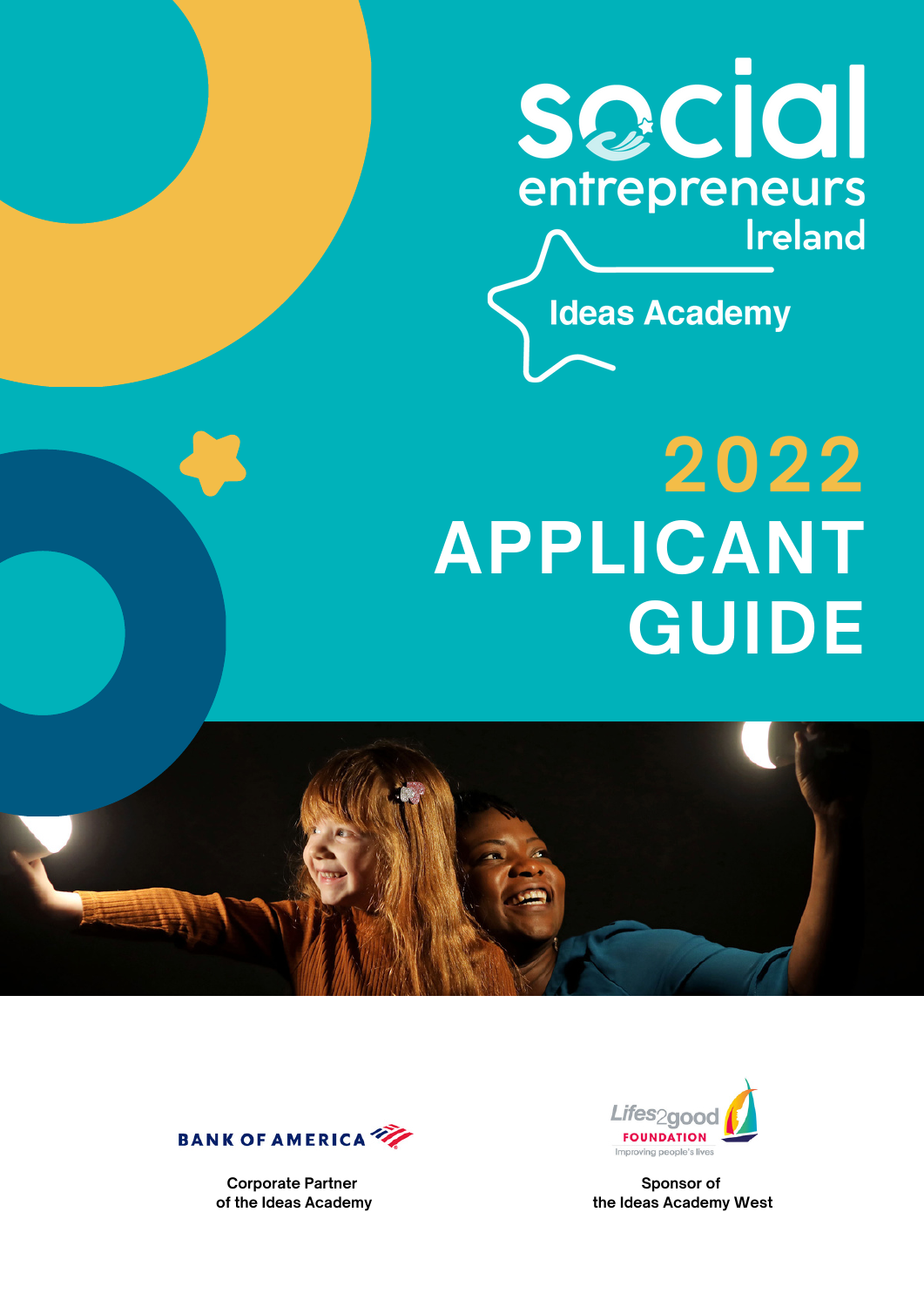

**Ideas Academy** 

# **2022 APPLICANT GUIDE**





**Corporate Partner of the Ideas Academy**



**Sponsor of the Ideas Academy West**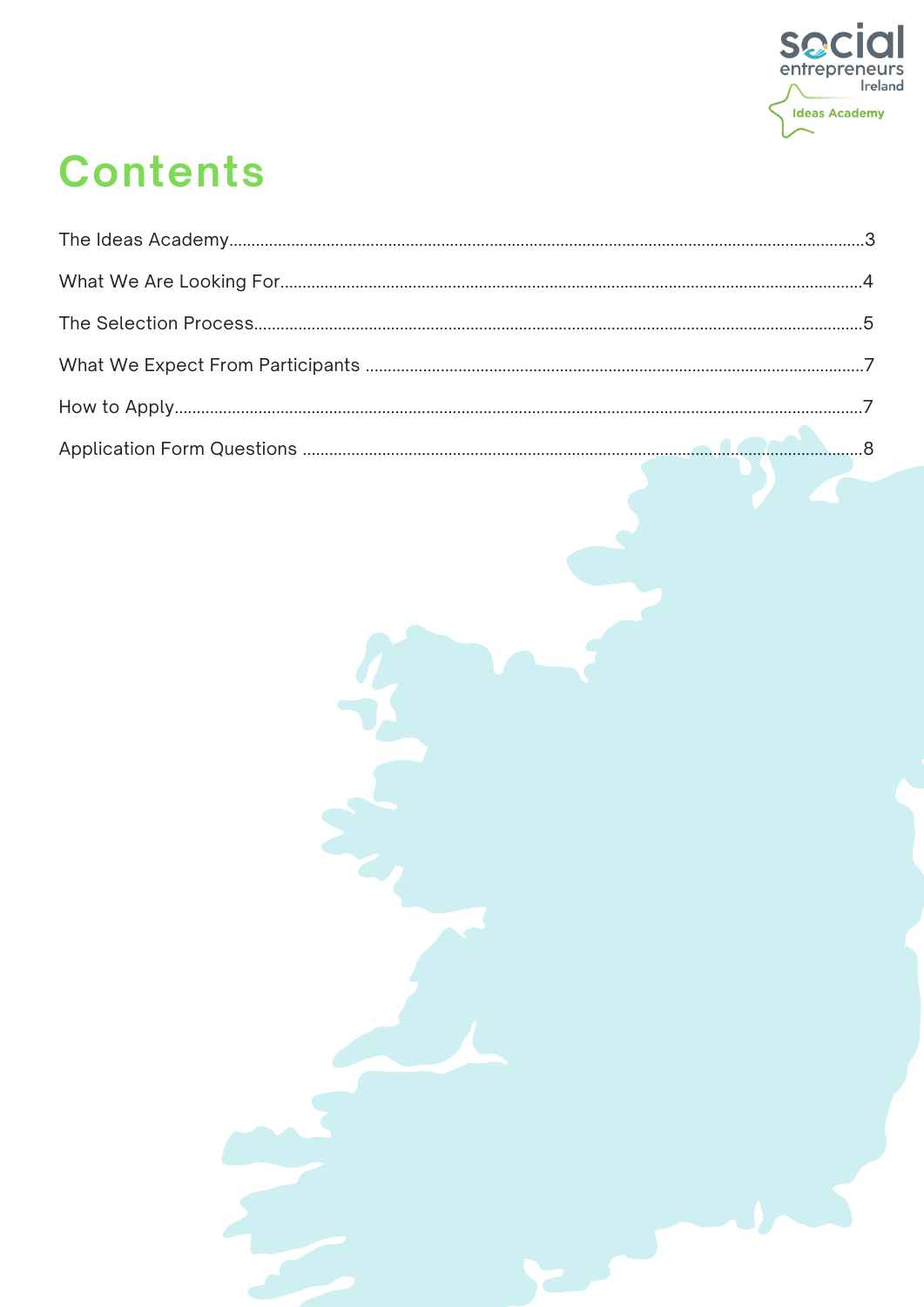

## **Contents**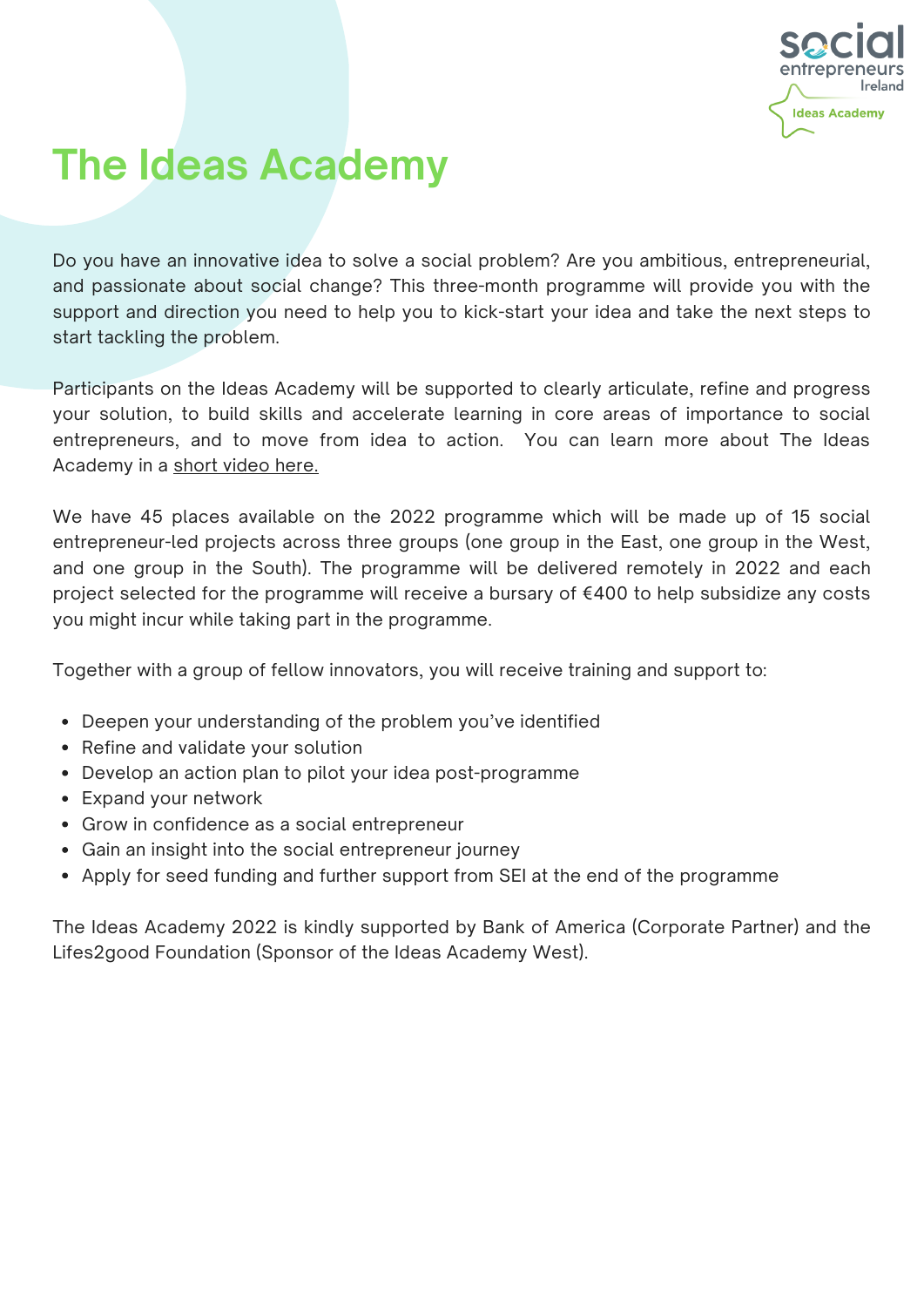

### **The Ideas Academy**

Do you have an innovative idea to solve a social problem? Are you ambitious, entrepreneurial, and passionate about social change? This three-month programme will provide you with the support and direction you need to help you to kick-start your idea and take the next steps to start tackling the problem.

Participants on the Ideas Academy will be supported to clearly articulate, refine and progress your solution, to build skills and accelerate learning in core areas of importance to social entrepreneurs, and to move from idea to action. You can learn more about The Ideas Academy in a short [video](https://www.youtube.com/watch?v=TzbY2wrjIAk&t=23s) here.

We have 45 places available on the 2022 programme which will be made up of 15 social entrepreneur-led projects across three groups (one group in the East, one group in the West, and one group in the South). The programme will be delivered remotely in 2022 and each project selected for the programme will receive a bursary of €400 to help subsidize any costs you might incur while taking part in the programme.

Together with a group of fellow innovators, you will receive training and support to:

- Deepen your understanding of the problem you've identified
- Refine and validate your solution
- Develop an action plan to pilot your idea post-programme
- Expand your network
- Grow in confidence as a social entrepreneur
- Gain an insight into the social entrepreneur journey
- Apply for seed funding and further support from SEI at the end of the programme

The Ideas Academy 2022 is kindly supported by Bank of America (Corporate Partner) and the Lifes2good Foundation (Sponsor of the Ideas Academy West).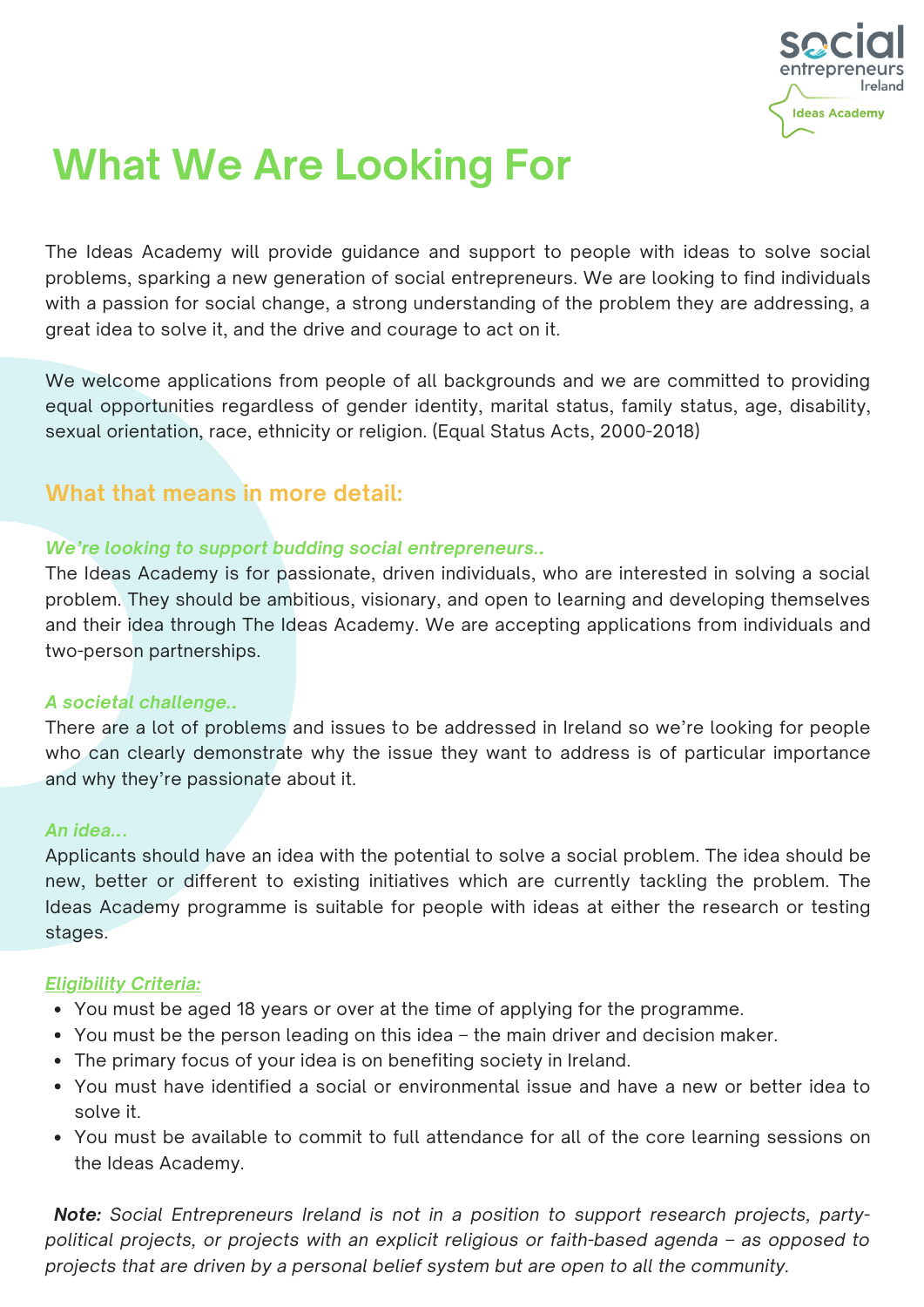

### **What We Are Looking For**

The Ideas Academy will provide guidance and support to people with ideas to solve social problems, sparking a new generation of social entrepreneurs. We are looking to find individuals with a passion for social change, a strong understanding of the problem they are addressing, a great idea to solve it, and the drive and courage to act on it.

We welcome applications from people of all backgrounds and we are committed to providing equal opportunities regardless of gender identity, marital status, family status, age, disability, sexual orientation, race, ethnicity or religion. (Equal Status Acts, 2000-2018)

#### **What that means in more detail:**

#### *We're looking to support budding social entrepreneurs…*

The Ideas Academy is for passionate, driven individuals, who are interested in solving a social problem. They should be ambitious, visionary, and open to learning and developing themselves and their idea through The Ideas Academy. We are accepting applications from individuals and two-person partnerships.

#### *A societal challenge…*

There are a lot of problems and issues to be addressed in Ireland so we're looking for people who can clearly demonstrate why the issue they want to address is of particular importance and why they're passionate about it.

#### *An idea….*

Applicants should have an idea with the potential to solve a social problem. The idea should be new, better or different to existing initiatives which are currently tackling the problem. The Ideas Academy programme is suitable for people with ideas at either the research or testing stages.

#### *Eligibility Criteria:*

- You must be aged 18 years or over at the time of applying for the programme.
- You must be the person leading on this idea the main driver and decision maker.
- The primary focus of your idea is on benefiting society in Ireland.
- You must have identified a social or environmental issue and have a new or better idea to solve it.
- You must be available to commit to full attendance for all of the core learning sessions on the Ideas Academy.

*Note: Social Entrepreneurs Ireland is not in a position to support research projects, partypolitical projects, or projects with an explicit religious or faith-based agenda – as opposed to projects that are driven by a personal belief system but are open to all the community.*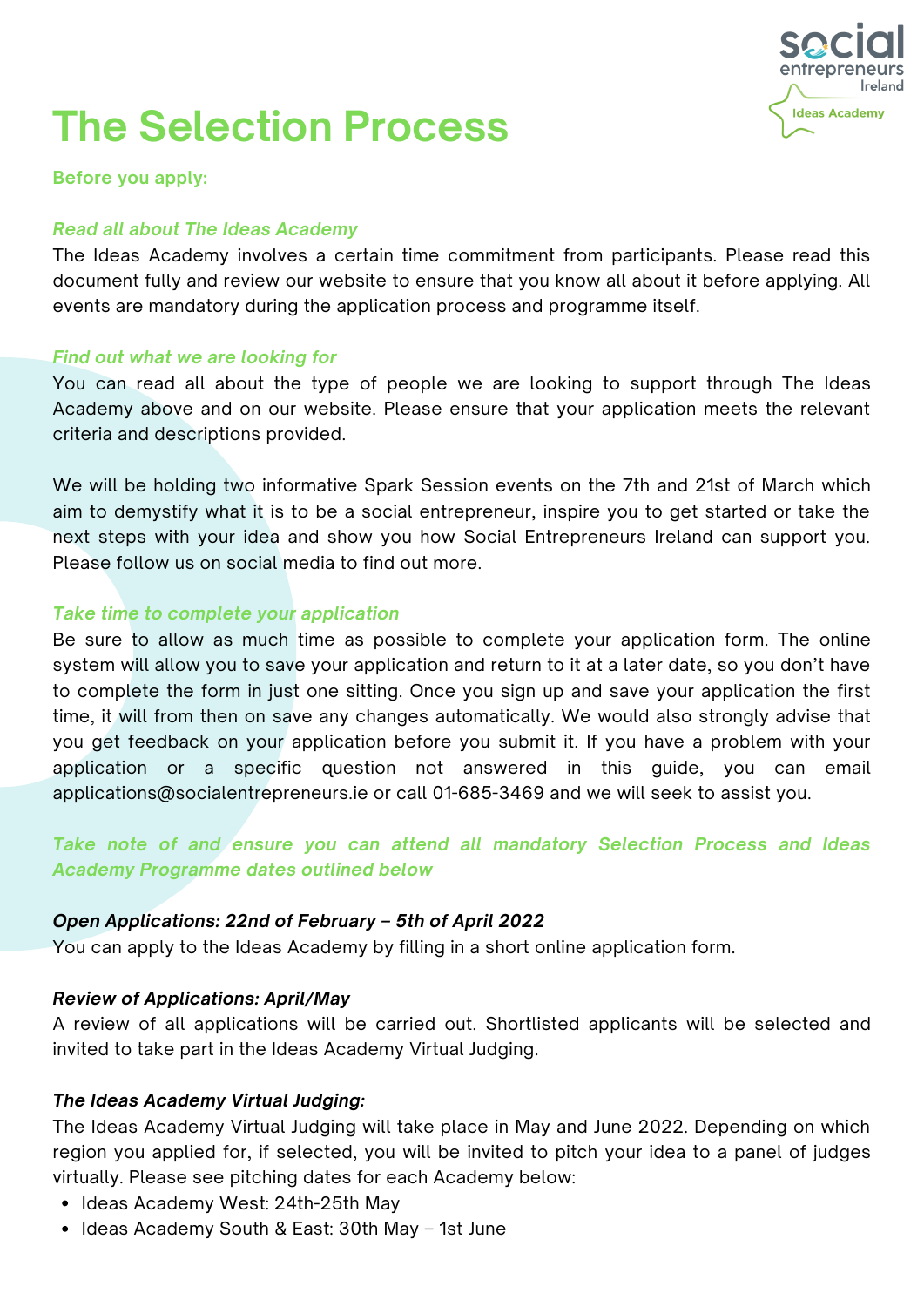

### **The Selection Process**

**Before you apply:**

#### *Read all about The Ideas Academy*

The Ideas Academy involves a certain time commitment from participants. Please read this document fully and review our website to ensure that you know all about it before applying. All events are mandatory during the application process and programme itself.

#### *Find out what we are looking for*

You can read all about the type of people we are looking to support through The Ideas Academy above and on our website. Please ensure that your application meets the relevant criteria and descriptions provided.

We will be holding two informative Spark Session events on the 7th and 21st of March which aim to demystify what it is to be a social entrepreneur, inspire you to get started or take the next steps with your idea and show you how Social Entrepreneurs Ireland can support you. Please follow us on social media to find out more.

#### *Take time to complete your application*

Be sure to allow as much time as possible to complete your application form. The online system will allow you to save your application and return to it at a later date, so you don't have to complete the form in just one sitting. Once you sign up and save your application the first time, it will from then on save any changes automatically. We would also strongly advise that you get feedback on your application before you submit it. If you have a problem with your application or a specific question not answered in this guide, you can email [applications@socialentrepreneurs.ie](mailto:applications@socialentrepreneurs.ie) or call 01-685-3469 and we will seek to assist you.

*Take note of and ensure you can attend all mandatory Selection Process and Ideas Academy Programme dates outlined below*

#### *Open Applications: 22nd of February – 5th of April 2022*

You can apply to the Ideas Academy by filling in a short online application form.

#### *Review of Applications: April/May*

A review of all applications will be carried out. Shortlisted applicants will be selected and invited to take part in the Ideas Academy Virtual Judging.

#### *The Ideas Academy Virtual Judging:*

The Ideas Academy Virtual Judging will take place in May and June 2022. Depending on which region you applied for, if selected, you will be invited to pitch your idea to a panel of judges virtually. Please see pitching dates for each Academy below:

- Ideas Academy West: 24th-25th May
- Ideas Academy South & East: 30th May 1st June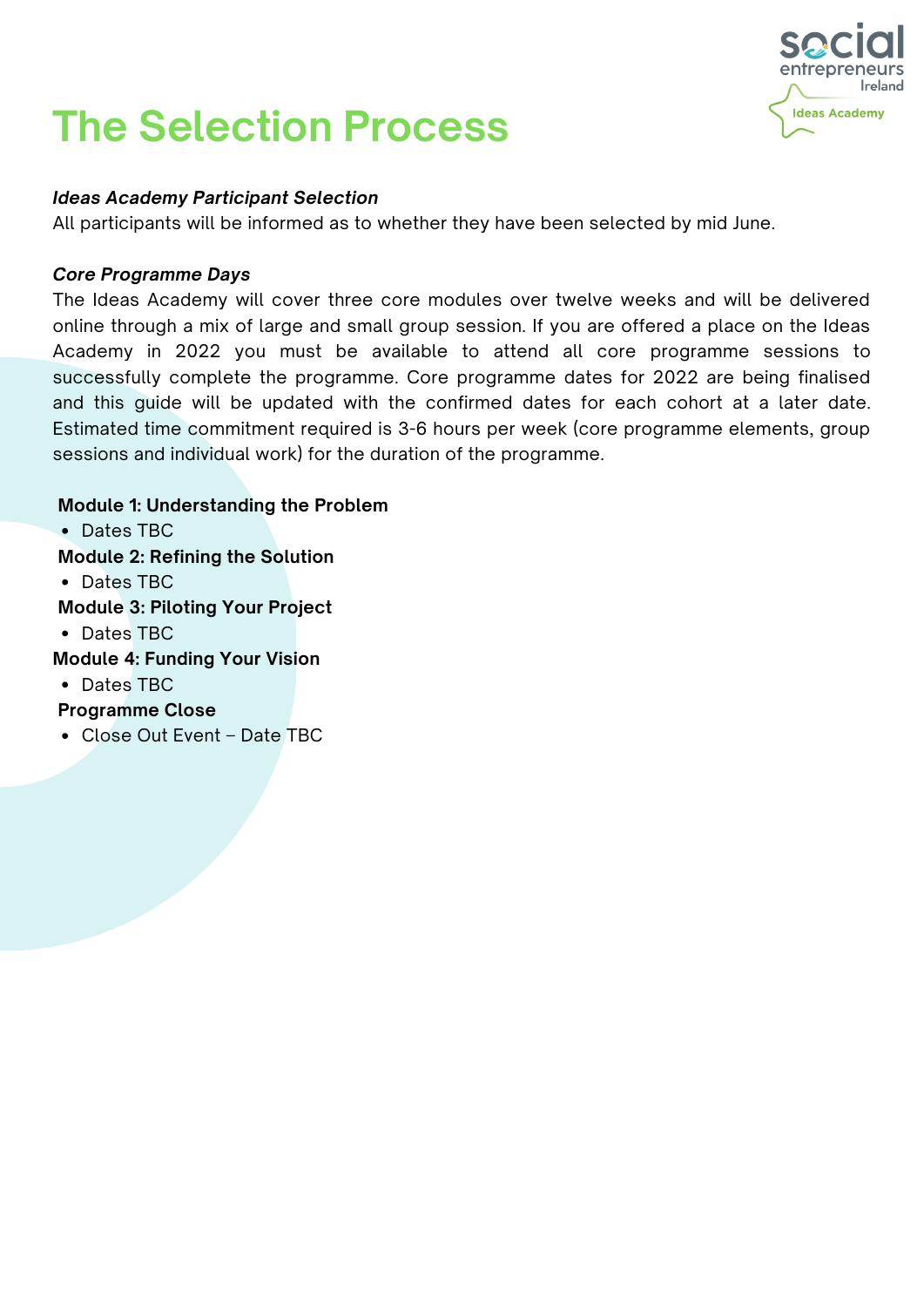## **The Selection Process**



#### *Ideas Academy Participant Selection*

All participants will be informed as to whether they have been selected by mid June.

#### *Core Programme Days*

The Ideas Academy will cover three core modules over twelve weeks and will be delivered online through a mix of large and small group session. If you are offered a place on the Ideas Academy in 2022 you must be available to attend all core programme sessions to successfully complete the programme. Core programme dates for 2022 are being finalised and this guide will be updated with the confirmed dates for each cohort at a later date. Estimated time commitment required is 3-6 hours per week (core programme elements, group sessions and individual work) for the duration of the programme.

#### **Module 1: Understanding the Problem**

Dates TBC

**Module 2: Refining the Solution**

Dates TBC

**Module 3: Piloting Your Project**

- Dates TBC
- **Module 4: Funding Your Vision**
- Dates TBC

#### **Programme Close**

Close Out Event – Date TBC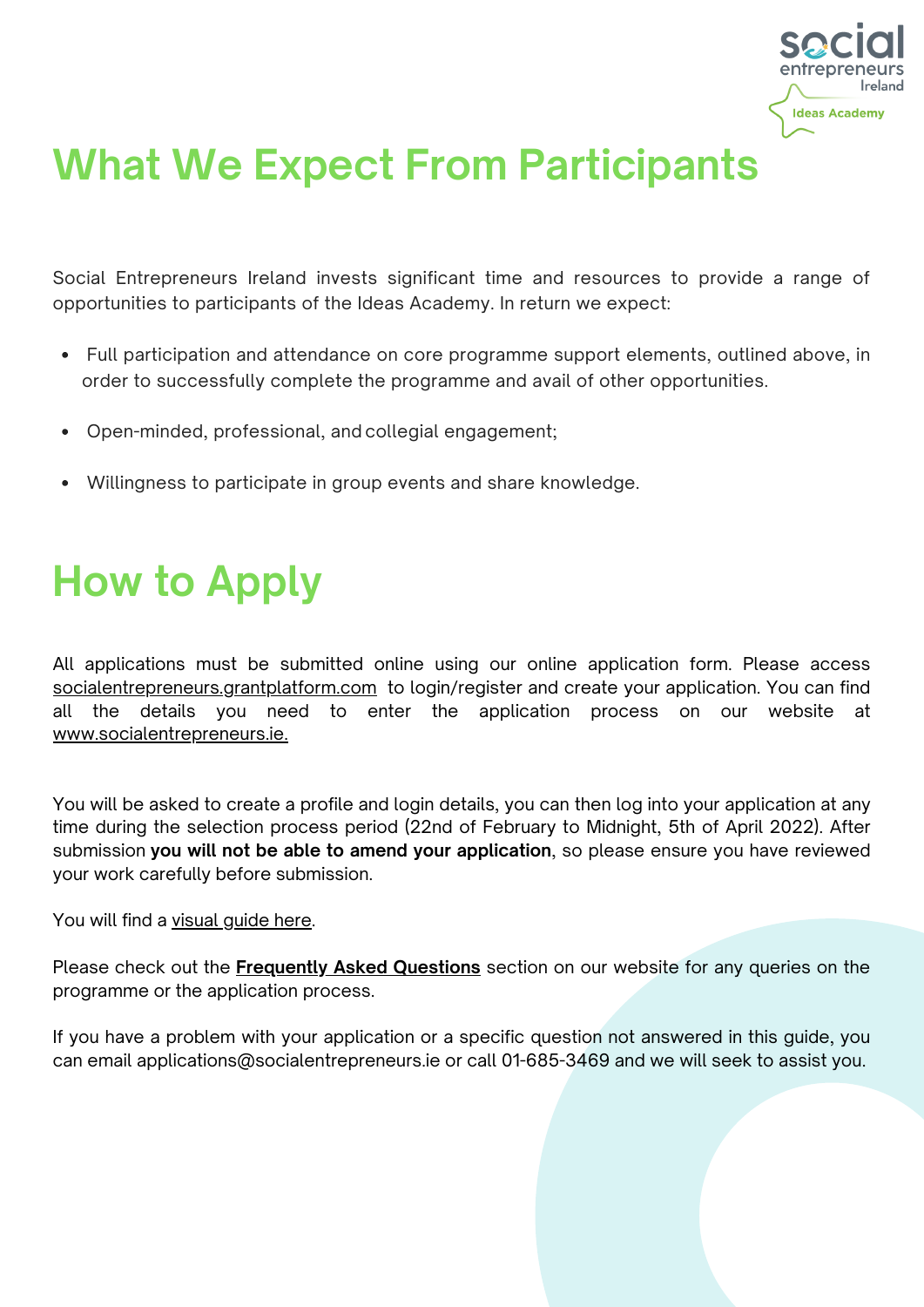

### **What We Expect From Participants**

Social Entrepreneurs Ireland invests significant time and resources to provide a range of opportunities to participants of the Ideas Academy. In return we expect:

- Full participation and attendance on core programme support elements, outlined above, in order to successfully complete the programme and avail of other opportunities.
- Open-minded, professional, and collegial engagement;
- Willingness to participate in group events and share knowledge.

### **How to Apply**

All applications must be submitted online using our online application form. Please access [socialentrepreneurs.grantplatform.com](https://socialentrepreneurs.grantplatform.com/) to login/register and create your application. You can find all the details you need to enter the application process on our website at [www.socialentrepreneurs.ie.](https://socialentrepreneurs.ie/)

You will be asked to create a profile and login details, you can then log into your application at any time during the selection process period (22nd of February to Midnight, 5th of April 2022). After submission **you will not be able to amend your application**, so please ensure you have reviewed your work carefully before submission.

#### You will find a [visual](https://www.socialentrepreneurs.ie/wp-content/uploads/2022/02/Application-Process-Visual-Guide-2022.pdf) quide here.

Please check out the **[Frequently](https://www.socialentrepreneurs.ie/about-us/frequently-asked-questions/) Asked Questions** section on our website for any queries on the programme or the application process.

If you have a problem with your application or a specific question not answered in this guide, you can email [applications@socialentrepreneurs.ie](mailto:applications@socialentrepreneurs.ie) or call 01-685-3469 and we will seek to assist you.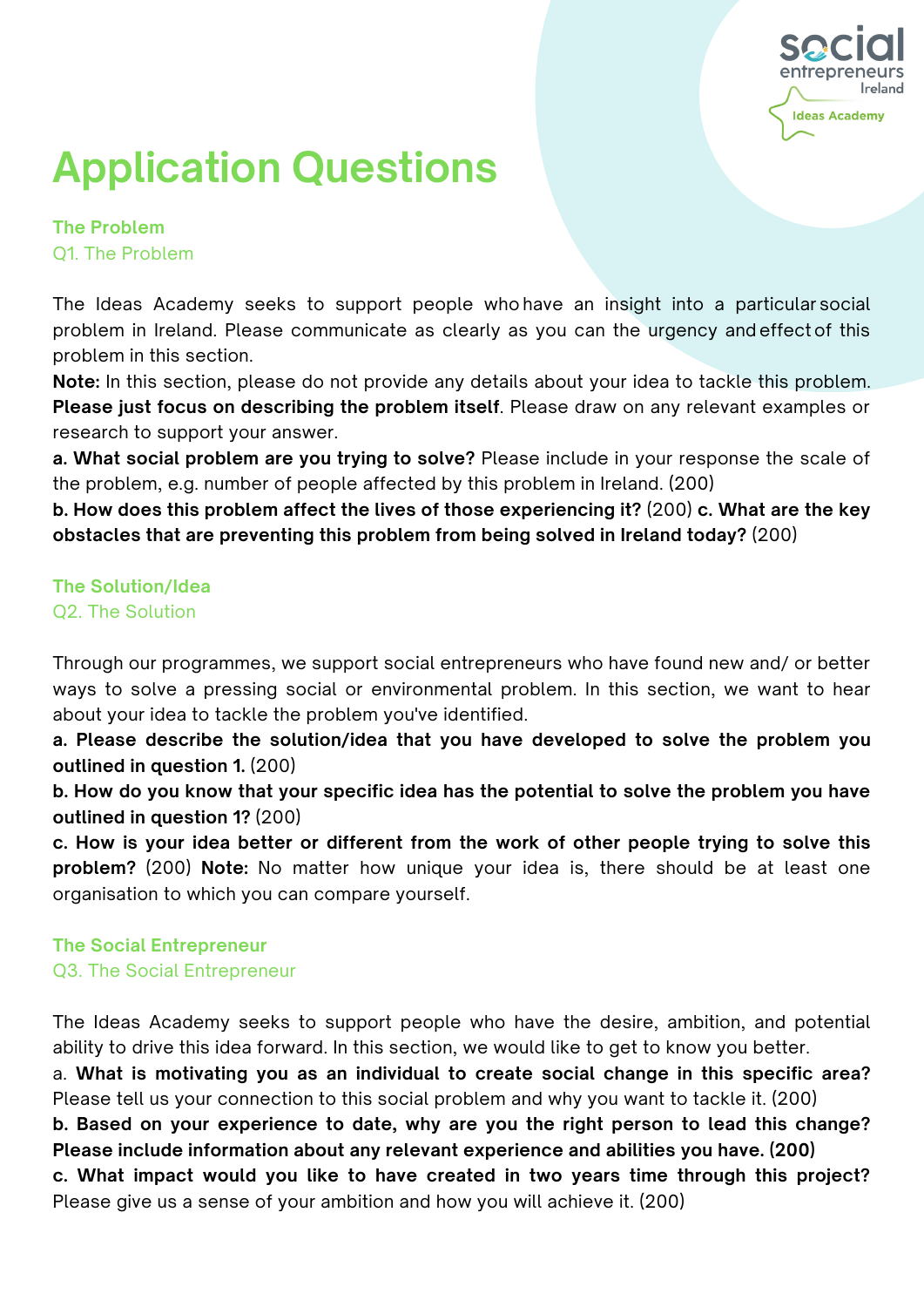

# **Application Questions**

**The Problem** Q1. The Problem

The Ideas Academy seeks to support people who have an insight into a particular social problem in Ireland. Please communicate as clearly as you can the urgency and effect of this problem in this section.

**Note:** In this section, please do not provide any details about your idea to tackle this problem. **Please just focus on describing the problem itself**. Please draw on any relevant examples or research to support your answer.

**a. What social problem are you trying to solve?** Please include in your response the scale of the problem, e.g. number of people affected by this problem in Ireland. (200)

**b. How does this problem affect the lives of those experiencing it?** (200) **c. What are the key obstacles that are preventing this problem from being solved in Ireland today?** (200)

#### **The Solution/Idea** Q2. The Solution

Through our programmes, we support social entrepreneurs who have found new and/ or better ways to solve a pressing social or environmental problem. In this section, we want to hear about your idea to tackle the problem you've identified.

**a. Please describe the solution/idea that you have developed to solve the problem you outlined in question 1.** (200)

**b. How do you know that your specific idea has the potential to solve the problem you have outlined in question 1?** (200)

**c. How is your idea better or different from the work of other people trying to solve this problem?** (200) **Note:** No matter how unique your idea is, there should be at least one organisation to which you can compare yourself.

#### **The Social Entrepreneur**

Q3. The Social Entrepreneur

The Ideas Academy seeks to support people who have the desire, ambition, and potential ability to drive this idea forward. In this section, we would like to get to know you better.

a. **What is motivating you as an individual to create social change in this specific area?** Please tell us your connection to this social problem and why you want to tackle it. (200)

**b. Based on your experience to date, why are you the right person to lead this change? Please include information about any relevant experience and abilities you have. (200)**

**c. What impact would you like to have created in two years time through this project?** Please give us a sense of your ambition and how you will achieve it. (200)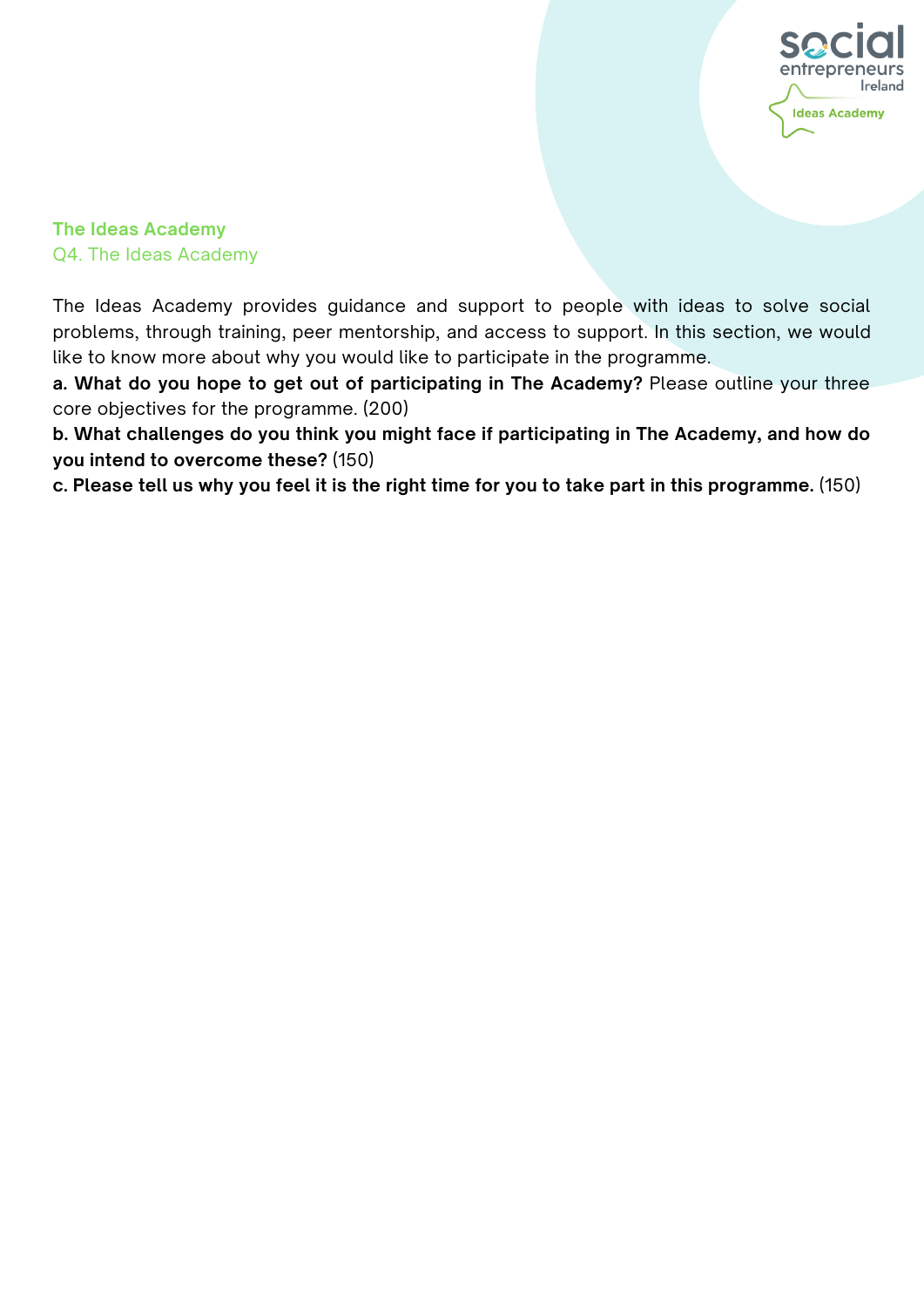

**The Ideas Academy** Q4. The Ideas Academy

The Ideas Academy provides guidance and support to people with ideas to solve social problems, through training, peer mentorship, and access to support. In this section, we would like to know more about why you would like to participate in the programme.

**a. What do you hope to get out of participating in The Academy?** Please outline your three core objectives for the programme. (200)

**b. What challenges do you think you might face if participating in The Academy, and how do you intend to overcome these?** (150)

c. Please tell us why you feel it is the right time for you to take part in this programme. (150)